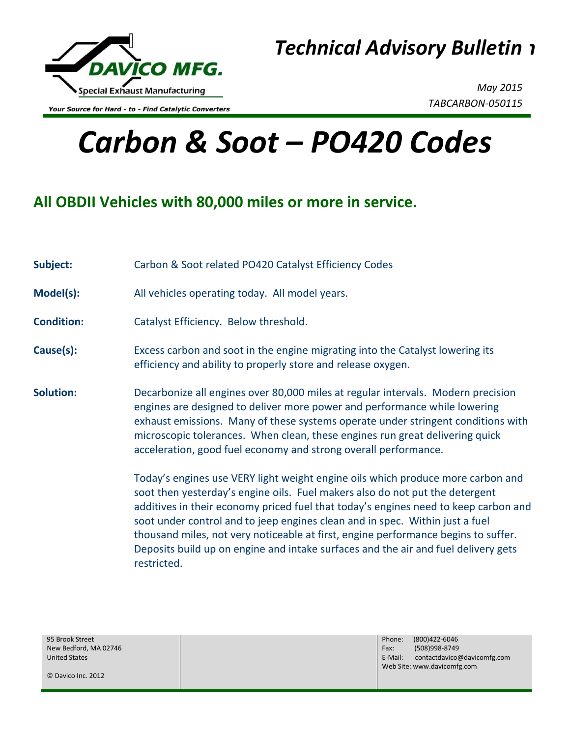

Your Source for Hard - to - Find Catalytic Converters

*May 2015 TABCARBON-050115*

## *Carbon & Soot – PO420 Codes*

## **All OBDII Vehicles with 80,000 miles or more in service.**

**Subject:** Carbon & Soot related PO420 Catalyst Efficiency Codes **Model(s):** All vehicles operating today. All model years. **Condition:** Catalyst Efficiency. Below threshold. **Cause(s):** Excess carbon and soot in the engine migrating into the Catalyst lowering its efficiency and ability to properly store and release oxygen. **Solution:** Decarbonize all engines over 80,000 miles at regular intervals. Modern precision engines are designed to deliver more power and performance while lowering exhaust emissions. Many of these systems operate under stringent conditions with microscopic tolerances. When clean, these engines run great delivering quick acceleration, good fuel economy and strong overall performance. Today's engines use VERY light weight engine oils which produce more carbon and soot then yesterday's engine oils. Fuel makers also do not put the detergent additives in their economy priced fuel that today's engines need to keep carbon and soot under control and to jeep engines clean and in spec. Within just a fuel thousand miles, not very noticeable at first, engine performance begins to suffer. Deposits build up on engine and intake surfaces and the air and fuel delivery gets restricted.

95 Brook Street New Bedford, MA 02746 United States

Phone: (800)422-6046 Fax: (508)998-8749 E-Mail: contactdavico@davicomfg.com Web Site: www.davicomfg.com

© Davico Inc. 2012